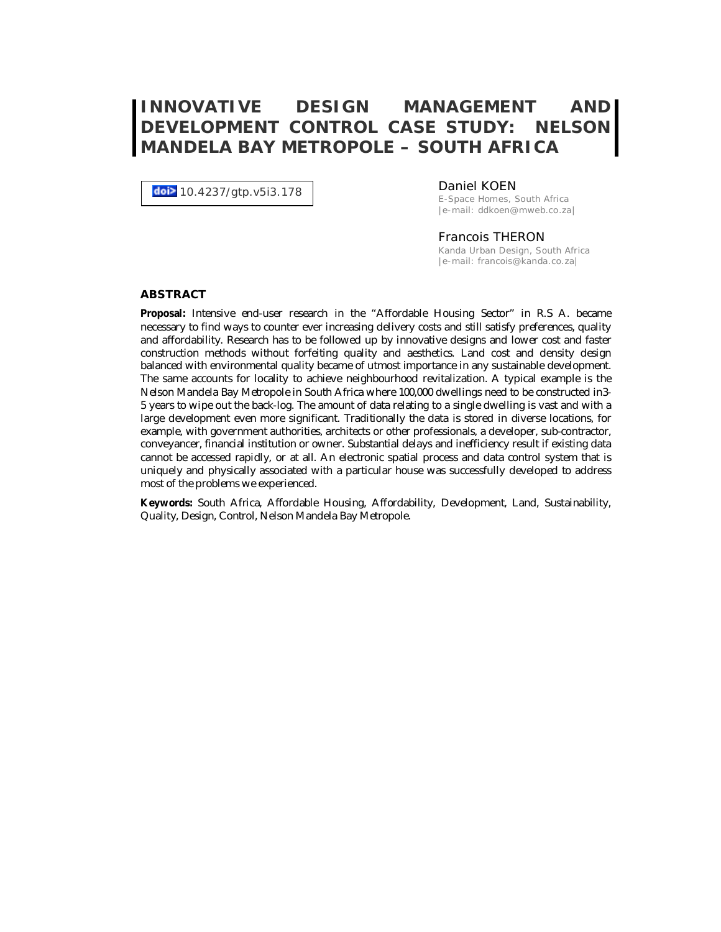# **INNOVATIVE DESIGN MANAGEMENT AND DEVELOPMENT CONTROL CASE STUDY: NELSON MANDELA BAY METROPOLE – SOUTH AFRICA**

doi> 10.4237/gtp.v5i3.178

#### Daniel KOEN

E-Space Homes, South Africa |e-mail: ddkoen@mweb.co.za|

#### Francois THERON

Kanda Urban Design, South Africa |e-mail: francois@kanda.co.za|

#### **ABSTRACT**

**Proposal:** Intensive end-user research in the "Affordable Housing Sector" in R.S A. became necessary to find ways to counter ever increasing delivery costs and still satisfy preferences, quality and affordability. Research has to be followed up by innovative designs and lower cost and faster construction methods without forfeiting quality and aesthetics. Land cost and density design balanced with environmental quality became of utmost importance in any sustainable development. The same accounts for locality to achieve neighbourhood revitalization. A typical example is the Nelson Mandela Bay Metropole in South Africa where 100,000 dwellings need to be constructed in3- 5 years to wipe out the back-log. The amount of data relating to a single dwelling is vast and with a large development even more significant. Traditionally the data is stored in diverse locations, for example, with government authorities, architects or other professionals, a developer, sub-contractor, conveyancer, financial institution or owner. Substantial delays and inefficiency result if existing data cannot be accessed rapidly, or at all. An electronic spatial process and data control system that is uniquely and physically associated with a particular house was successfully developed to address most of the problems we experienced.

**Keywords:** South Africa, Affordable Housing, Affordability, Development, Land, Sustainability, Quality, Design, Control, Nelson Mandela Bay Metropole.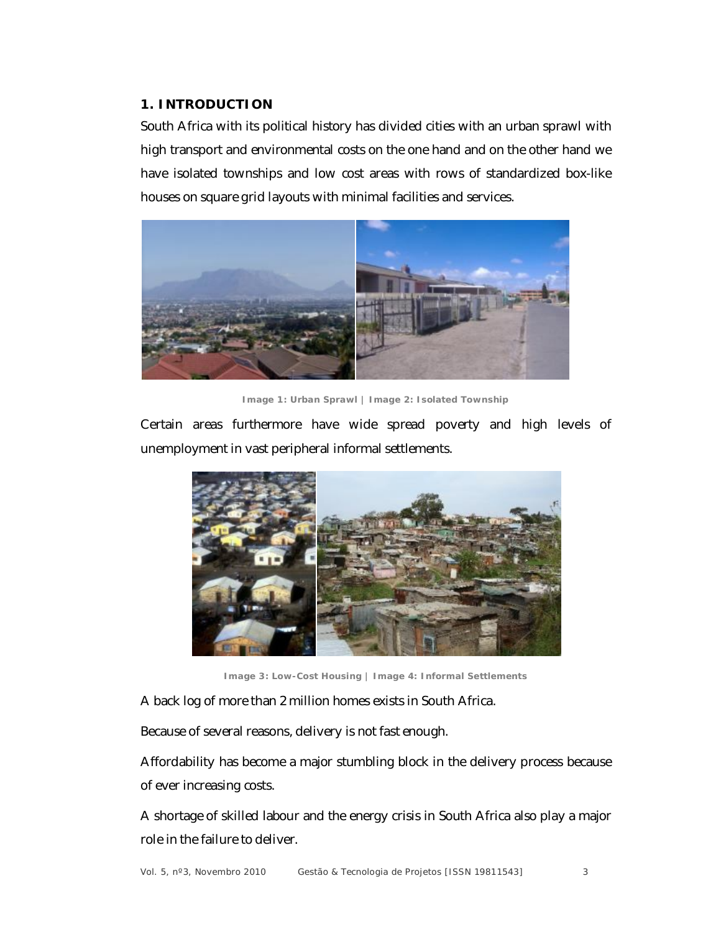#### **1. INTRODUCTION**

South Africa with its political history has divided cities with an urban sprawl with high transport and environmental costs on the one hand and on the other hand we have isolated townships and low cost areas with rows of standardized box-like houses on square grid layouts with minimal facilities and services.



**Image 1: Urban Sprawl | Image 2: Isolated Township**

Certain areas furthermore have wide spread poverty and high levels of unemployment in vast peripheral informal settlements.



**Image 3: Low-Cost Housing | Image 4: Informal Settlements**

A back log of more than 2 million homes exists in South Africa.

Because of several reasons, delivery is not fast enough.

Affordability has become a major stumbling block in the delivery process because of ever increasing costs.

A shortage of skilled labour and the energy crisis in South Africa also play a major role in the failure to deliver.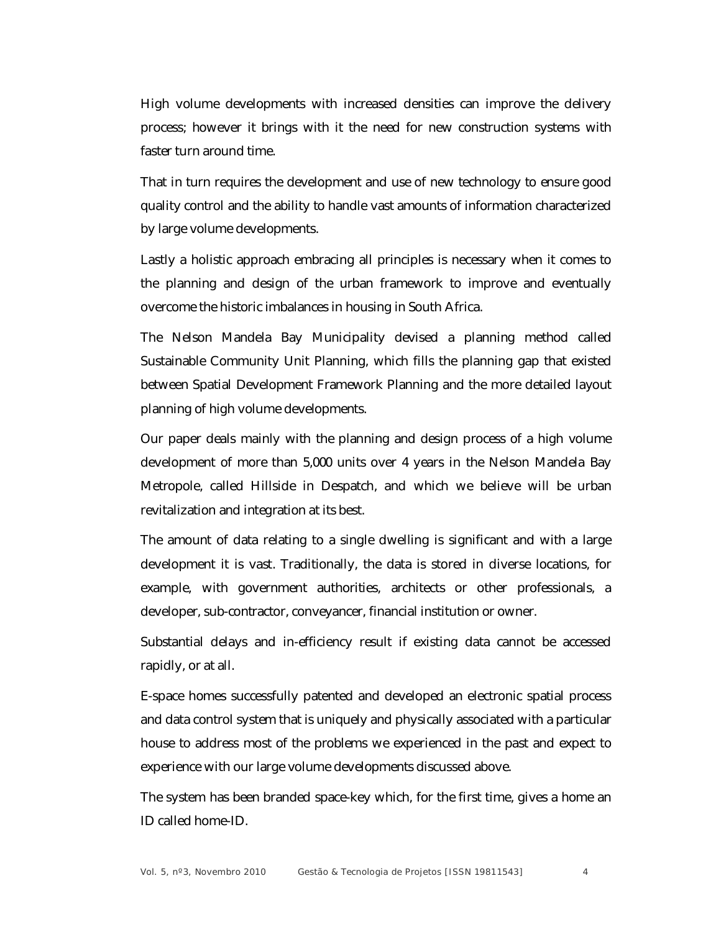High volume developments with increased densities can improve the delivery process; however it brings with it the need for new construction systems with faster turn around time.

That in turn requires the development and use of new technology to ensure good quality control and the ability to handle vast amounts of information characterized by large volume developments.

Lastly a holistic approach embracing all principles is necessary when it comes to the planning and design of the urban framework to improve and eventually overcome the historic imbalances in housing in South Africa.

The Nelson Mandela Bay Municipality devised a planning method called Sustainable Community Unit Planning, which fills the planning gap that existed between Spatial Development Framework Planning and the more detailed layout planning of high volume developments.

Our paper deals mainly with the planning and design process of a high volume development of more than 5,000 units over 4 years in the Nelson Mandela Bay Metropole, called Hillside in Despatch, and which we believe will be urban revitalization and integration at its best.

The amount of data relating to a single dwelling is significant and with a large development it is vast. Traditionally, the data is stored in diverse locations, for example, with government authorities, architects or other professionals, a developer, sub-contractor, conveyancer, financial institution or owner.

Substantial delays and in-efficiency result if existing data cannot be accessed rapidly, or at all.

E-space homes successfully patented and developed an electronic spatial process and data control system that is uniquely and physically associated with a particular house to address most of the problems we experienced in the past and expect to experience with our large volume developments discussed above.

The system has been branded space-key which, for the first time, gives a home an ID called home-ID.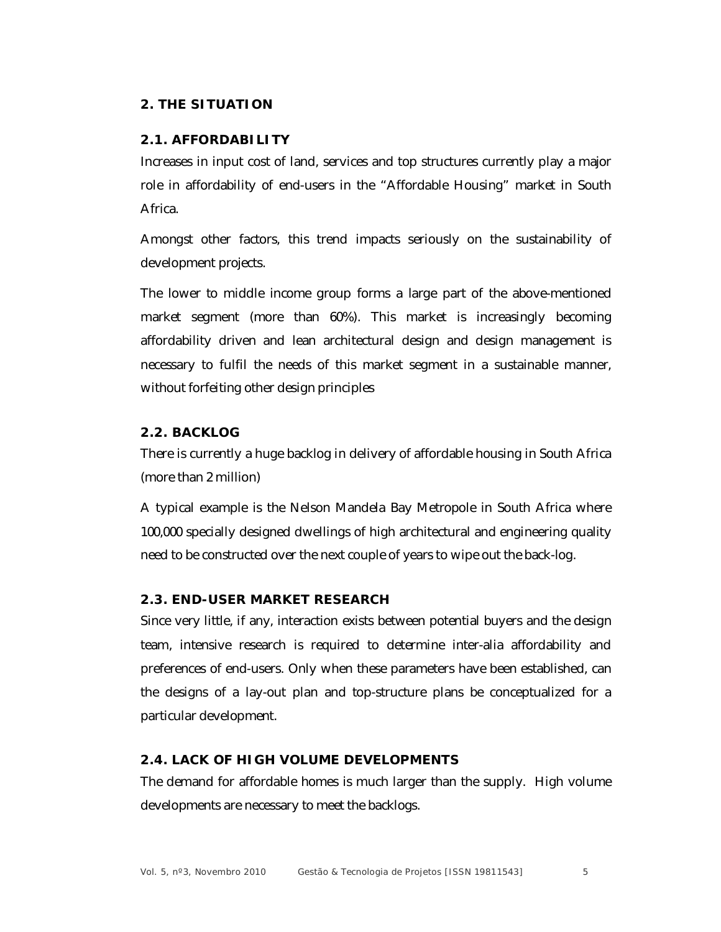### **2. THE SITUATION**

#### **2.1. AFFORDABILITY**

Increases in input cost of land, services and top structures currently play a major role in affordability of end-users in the "Affordable Housing" market in South Africa.

Amongst other factors, this trend impacts seriously on the sustainability of development projects.

The lower to middle income group forms a large part of the above-mentioned market segment (more than 60%). This market is increasingly becoming affordability driven and lean architectural design and design management is necessary to fulfil the needs of this market segment in a sustainable manner, without forfeiting other design principles

### **2.2. BACKLOG**

There is currently a huge backlog in delivery of affordable housing in South Africa (more than 2 million)

A typical example is the Nelson Mandela Bay Metropole in South Africa where 100,000 specially designed dwellings of high architectural and engineering quality need to be constructed over the next couple of years to wipe out the back-log.

#### **2.3. END-USER MARKET RESEARCH**

Since very little, if any, interaction exists between potential buyers and the design team, intensive research is required to determine inter-alia affordability and preferences of end-users. Only when these parameters have been established, can the designs of a lay-out plan and top-structure plans be conceptualized for a particular development.

# **2.4. LACK OF HIGH VOLUME DEVELOPMENTS**

The demand for affordable homes is much larger than the supply. High volume developments are necessary to meet the backlogs.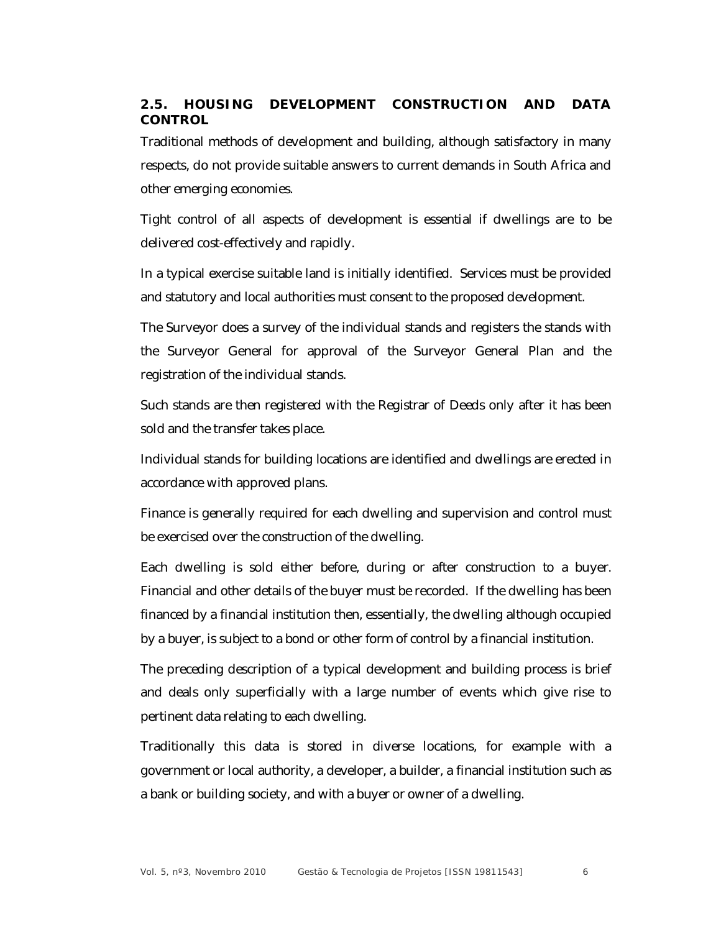# **2.5. HOUSING DEVELOPMENT CONSTRUCTION AND DATA CONTROL**

Traditional methods of development and building, although satisfactory in many respects, do not provide suitable answers to current demands in South Africa and other emerging economies.

Tight control of all aspects of development is essential if dwellings are to be delivered cost-effectively and rapidly.

In a typical exercise suitable land is initially identified. Services must be provided and statutory and local authorities must consent to the proposed development.

The Surveyor does a survey of the individual stands and registers the stands with the Surveyor General for approval of the Surveyor General Plan and the registration of the individual stands.

Such stands are then registered with the Registrar of Deeds only after it has been sold and the transfer takes place.

Individual stands for building locations are identified and dwellings are erected in accordance with approved plans.

Finance is generally required for each dwelling and supervision and control must be exercised over the construction of the dwelling.

Each dwelling is sold either before, during or after construction to a buyer. Financial and other details of the buyer must be recorded. If the dwelling has been financed by a financial institution then, essentially, the dwelling although occupied by a buyer, is subject to a bond or other form of control by a financial institution.

The preceding description of a typical development and building process is brief and deals only superficially with a large number of events which give rise to pertinent data relating to each dwelling.

Traditionally this data is stored in diverse locations, for example with a government or local authority, a developer, a builder, a financial institution such as a bank or building society, and with a buyer or owner of a dwelling.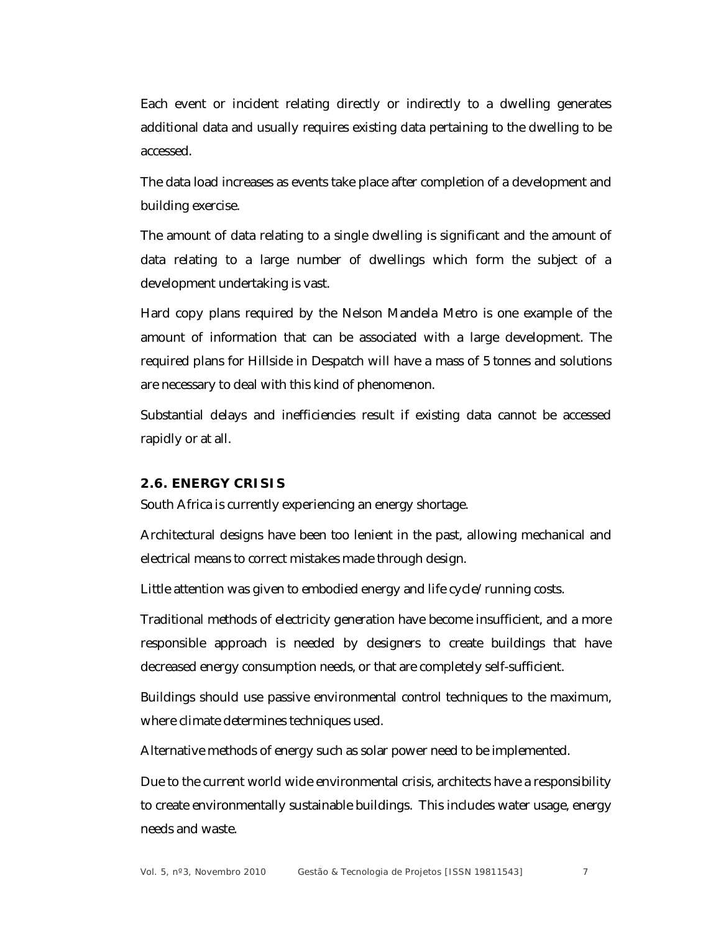Each event or incident relating directly or indirectly to a dwelling generates additional data and usually requires existing data pertaining to the dwelling to be accessed.

The data load increases as events take place after completion of a development and building exercise.

The amount of data relating to a single dwelling is significant and the amount of data relating to a large number of dwellings which form the subject of a development undertaking is vast.

Hard copy plans required by the Nelson Mandela Metro is one example of the amount of information that can be associated with a large development. The required plans for Hillside in Despatch will have a mass of 5 tonnes and solutions are necessary to deal with this kind of phenomenon.

Substantial delays and inefficiencies result if existing data cannot be accessed rapidly or at all.

#### **2.6. ENERGY CRISIS**

South Africa is currently experiencing an energy shortage.

Architectural designs have been too lenient in the past, allowing mechanical and electrical means to correct mistakes made through design.

Little attention was given to embodied energy and life cycle/running costs.

Traditional methods of electricity generation have become insufficient, and a more responsible approach is needed by designers to create buildings that have decreased energy consumption needs, or that are completely self-sufficient.

Buildings should use passive environmental control techniques to the maximum, where climate determines techniques used.

Alternative methods of energy such as solar power need to be implemented.

Due to the current world wide environmental crisis, architects have a responsibility to create environmentally sustainable buildings. This includes water usage, energy needs and waste.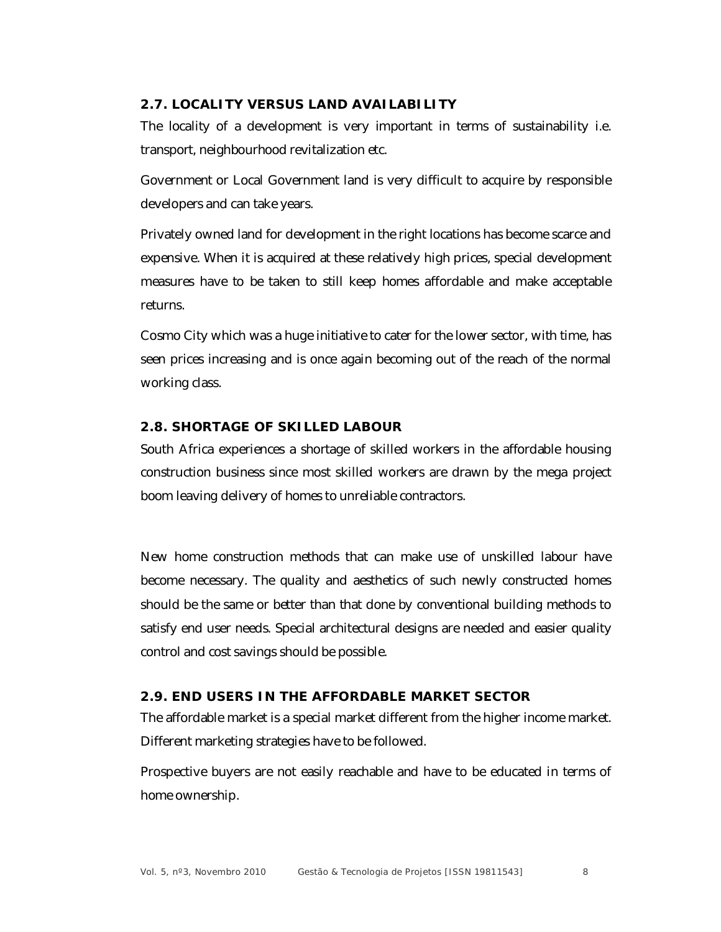# **2.7. LOCALITY VERSUS LAND AVAILABILITY**

The locality of a development is very important in terms of sustainability i.e. transport, neighbourhood revitalization etc.

Government or Local Government land is very difficult to acquire by responsible developers and can take years.

Privately owned land for development in the right locations has become scarce and expensive. When it is acquired at these relatively high prices, special development measures have to be taken to still keep homes affordable and make acceptable returns.

Cosmo City which was a huge initiative to cater for the lower sector, with time, has seen prices increasing and is once again becoming out of the reach of the normal working class.

# **2.8. SHORTAGE OF SKILLED LABOUR**

South Africa experiences a shortage of skilled workers in the affordable housing construction business since most skilled workers are drawn by the mega project boom leaving delivery of homes to unreliable contractors.

New home construction methods that can make use of unskilled labour have become necessary. The quality and aesthetics of such newly constructed homes should be the same or better than that done by conventional building methods to satisfy end user needs. Special architectural designs are needed and easier quality control and cost savings should be possible.

#### **2.9. END USERS IN THE AFFORDABLE MARKET SECTOR**

The affordable market is a special market different from the higher income market. Different marketing strategies have to be followed.

Prospective buyers are not easily reachable and have to be educated in terms of home ownership.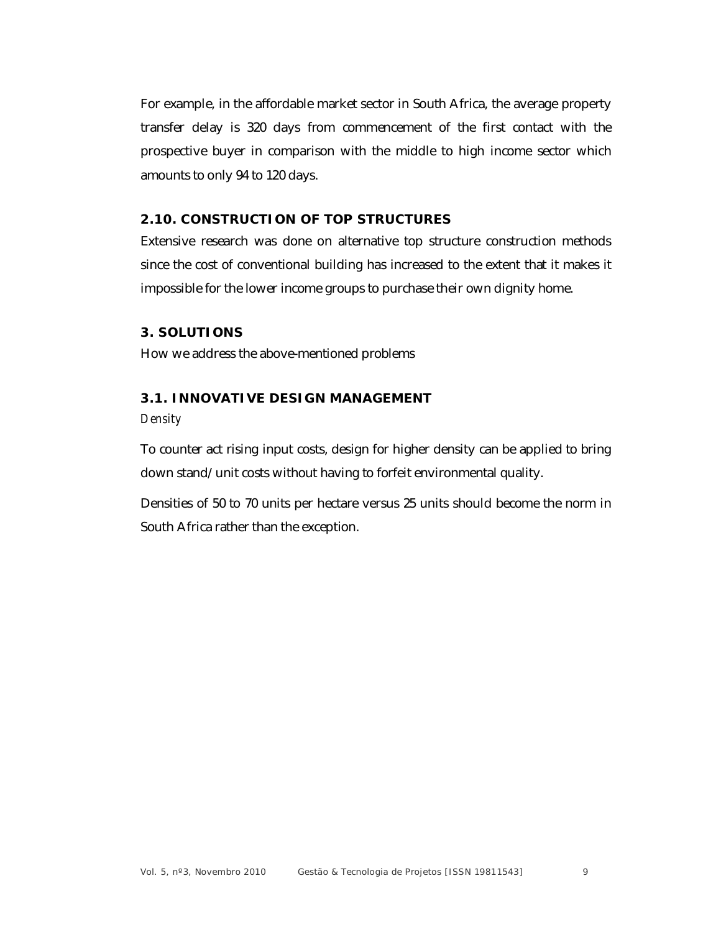For example, in the affordable market sector in South Africa, the average property transfer delay is 320 days from commencement of the first contact with the prospective buyer in comparison with the middle to high income sector which amounts to only 94 to 120 days.

# **2.10. CONSTRUCTION OF TOP STRUCTURES**

Extensive research was done on alternative top structure construction methods since the cost of conventional building has increased to the extent that it makes it impossible for the lower income groups to purchase their own dignity home.

#### **3. SOLUTIONS**

How we address the above-mentioned problems

#### **3.1. INNOVATIVE DESIGN MANAGEMENT**

*Density*

To counter act rising input costs, design for higher density can be applied to bring down stand/unit costs without having to forfeit environmental quality.

Densities of 50 to 70 units per hectare versus 25 units should become the norm in South Africa rather than the exception.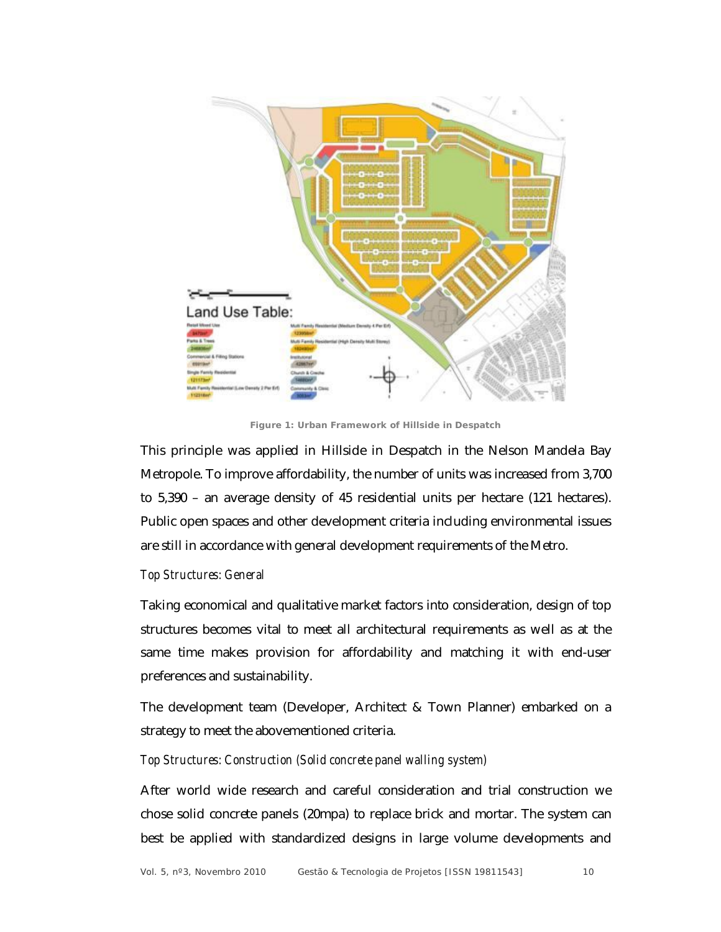

**Figure 1: Urban Framework of Hillside in Despatch**

This principle was applied in Hillside in Despatch in the Nelson Mandela Bay Metropole. To improve affordability, the number of units was increased from 3,700 to 5,390 – an average density of 45 residential units per hectare (121 hectares). Public open spaces and other development criteria including environmental issues are still in accordance with general development requirements of the Metro.

#### *Top Structures: General*

Taking economical and qualitative market factors into consideration, design of top structures becomes vital to meet all architectural requirements as well as at the same time makes provision for affordability and matching it with end-user preferences and sustainability.

The development team (Developer, Architect & Town Planner) embarked on a strategy to meet the abovementioned criteria.

#### *Top Structures: Construction (Solid concrete panel walling system)*

After world wide research and careful consideration and trial construction we chose solid concrete panels (20mpa) to replace brick and mortar. The system can best be applied with standardized designs in large volume developments and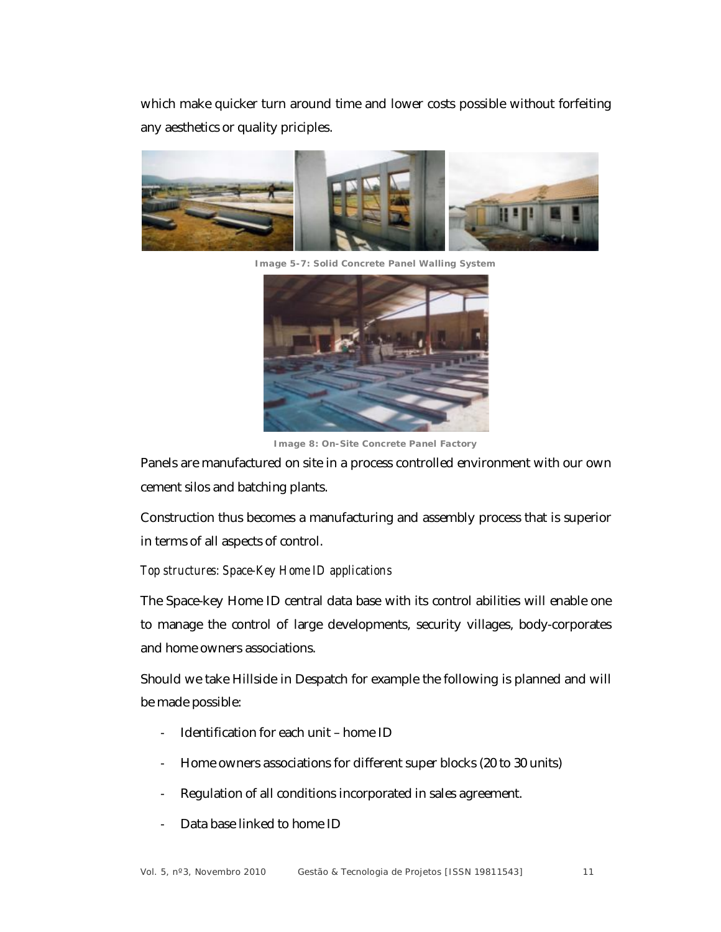which make quicker turn around time and lower costs possible without forfeiting any aesthetics or quality priciples.



**Image 5-7: Solid Concrete Panel Walling System**



**Image 8: On-Site Concrete Panel Factory**

Panels are manufactured on site in a process controlled environment with our own cement silos and batching plants.

Construction thus becomes a manufacturing and assembly process that is superior in terms of all aspects of control.

#### *Top structures: Space-Key Home ID applications*

The Space-key Home ID central data base with its control abilities will enable one to manage the control of large developments, security villages, body-corporates and home owners associations.

Should we take Hillside in Despatch for example the following is planned and will be made possible:

- Identification for each unit home ID
- Home owners associations for different super blocks (20 to 30 units)
- Regulation of all conditions incorporated in sales agreement.
- Data base linked to home ID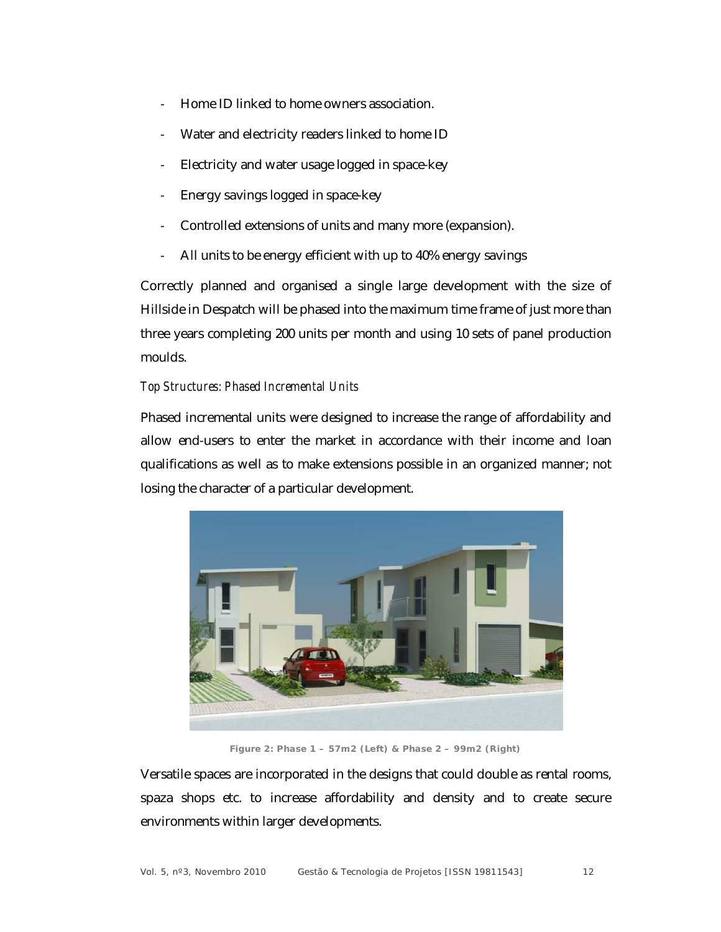- Home ID linked to home owners association.
- Water and electricity readers linked to home ID
- Electricity and water usage logged in space-key
- Energy savings logged in space-key
- Controlled extensions of units and many more (expansion).
- All units to be energy efficient with up to 40% energy savings

Correctly planned and organised a single large development with the size of Hillside in Despatch will be phased into the maximum time frame of just more than three years completing 200 units per month and using 10 sets of panel production moulds.

### *Top Structures: Phased Incremental Units*

Phased incremental units were designed to increase the range of affordability and allow end-users to enter the market in accordance with their income and loan qualifications as well as to make extensions possible in an organized manner; not losing the character of a particular development.



**Figure 2: Phase 1 – 57m2 (Left) & Phase 2 – 99m2 (Right)**

Versatile spaces are incorporated in the designs that could double as rental rooms, spaza shops etc. to increase affordability and density and to create secure environments within larger developments.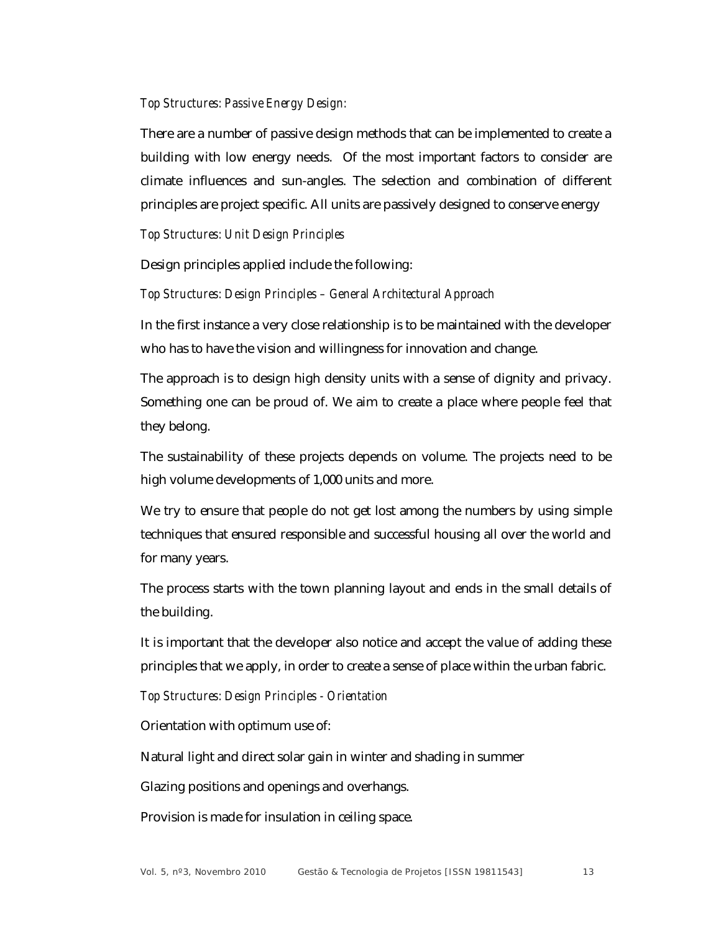#### *Top Structures: Passive Energy Design:*

There are a number of passive design methods that can be implemented to create a building with low energy needs. Of the most important factors to consider are climate influences and sun-angles. The selection and combination of different principles are project specific. All units are passively designed to conserve energy

#### *Top Structures: Unit Design Principles*

Design principles applied include the following:

#### *Top Structures: Design Principles – General Architectural Approach*

In the first instance a very close relationship is to be maintained with the developer who has to have the vision and willingness for innovation and change.

The approach is to design high density units with a sense of dignity and privacy. Something one can be proud of. We aim to create a place where people feel that they belong.

The sustainability of these projects depends on volume. The projects need to be high volume developments of 1,000 units and more.

We try to ensure that people do not get lost among the numbers by using simple techniques that ensured responsible and successful housing all over the world and for many years.

The process starts with the town planning layout and ends in the small details of the building.

It is important that the developer also notice and accept the value of adding these principles that we apply, in order to create a sense of place within the urban fabric.

*Top Structures: Design Principles - Orientation*

Orientation with optimum use of:

Natural light and direct solar gain in winter and shading in summer

Glazing positions and openings and overhangs.

Provision is made for insulation in ceiling space.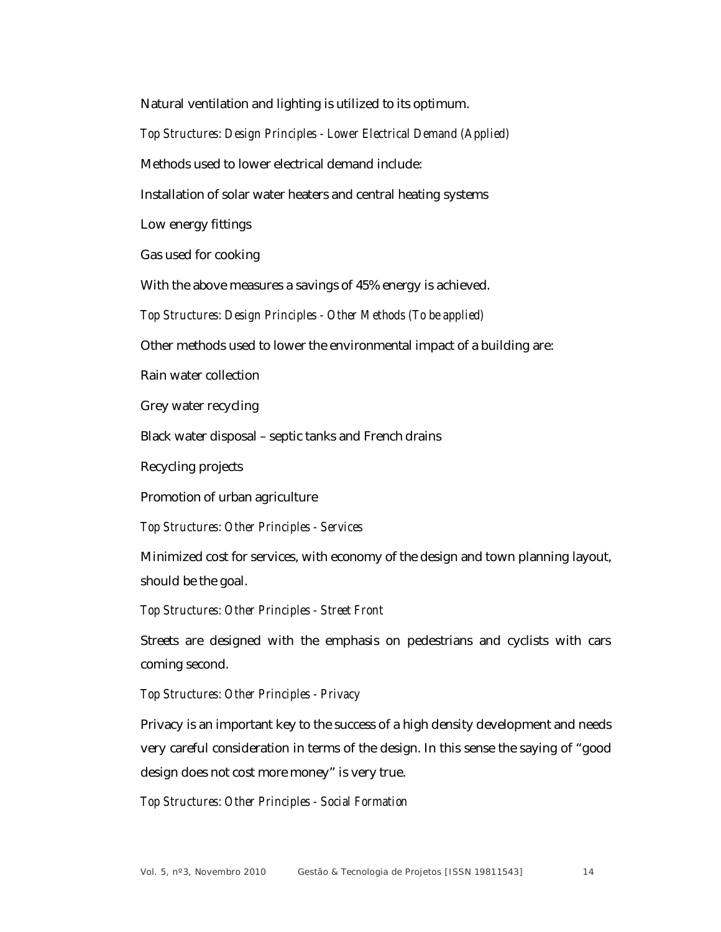Natural ventilation and lighting is utilized to its optimum.

*Top Structures: Design Principles - Lower Electrical Demand (Applied)*

Methods used to lower electrical demand include:

Installation of solar water heaters and central heating systems

Low energy fittings

Gas used for cooking

With the above measures a savings of 45% energy is achieved.

*Top Structures: Design Principles - Other Methods (To be applied)*

Other methods used to lower the environmental impact of a building are:

Rain water collection

Grey water recycling

Black water disposal – septic tanks and French drains

Recycling projects

Promotion of urban agriculture

*Top Structures: Other Principles - Services*

Minimized cost for services, with economy of the design and town planning layout, should be the goal.

*Top Structures: Other Principles - Street Front*

Streets are designed with the emphasis on pedestrians and cyclists with cars coming second.

*Top Structures: Other Principles - Privacy*

Privacy is an important key to the success of a high density development and needs very careful consideration in terms of the design. In this sense the saying of "good design does not cost more money" is very true.

*Top Structures: Other Principles - Social Formation*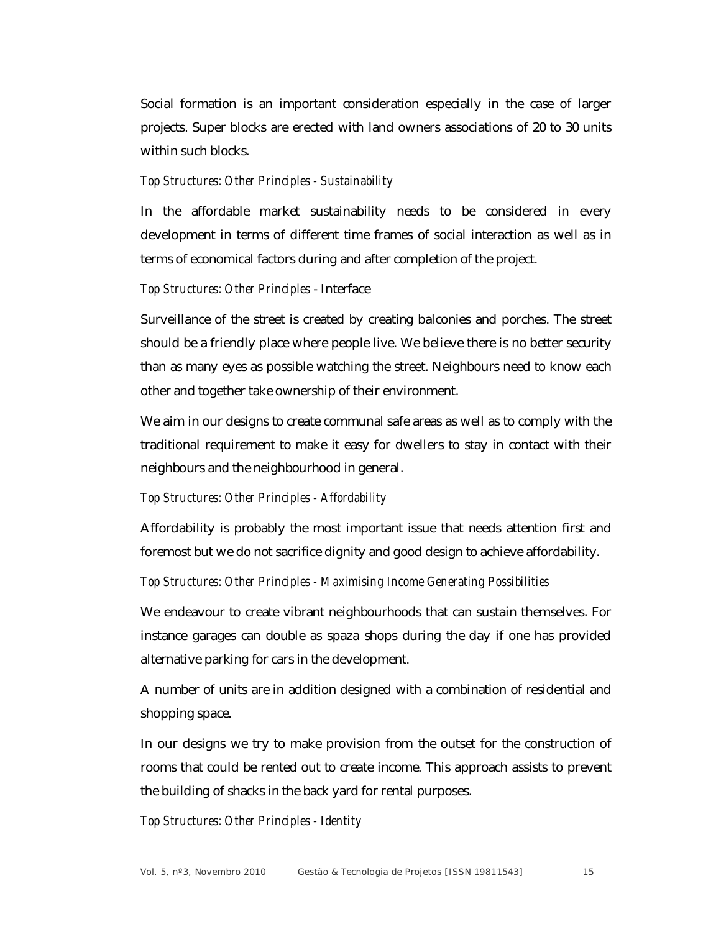Social formation is an important consideration especially in the case of larger projects. Super blocks are erected with land owners associations of 20 to 30 units within such blocks.

#### *Top Structures: Other Principles - Sustainability*

In the affordable market sustainability needs to be considered in every development in terms of different time frames of social interaction as well as in terms of economical factors during and after completion of the project.

#### *Top Structures: Other Principles* - Interface

Surveillance of the street is created by creating balconies and porches. The street should be a friendly place where people live. We believe there is no better security than as many eyes as possible watching the street. Neighbours need to know each other and together take ownership of their environment.

We aim in our designs to create communal safe areas as well as to comply with the traditional requirement to make it easy for dwellers to stay in contact with their neighbours and the neighbourhood in general.

#### *Top Structures: Other Principles - Affordability*

Affordability is probably the most important issue that needs attention first and foremost but we do not sacrifice dignity and good design to achieve affordability.

*Top Structures: Other Principles - Maximising Income Generating Possibilities*

We endeavour to create vibrant neighbourhoods that can sustain themselves. For instance garages can double as spaza shops during the day if one has provided alternative parking for cars in the development.

A number of units are in addition designed with a combination of residential and shopping space.

In our designs we try to make provision from the outset for the construction of rooms that could be rented out to create income. This approach assists to prevent the building of shacks in the back yard for rental purposes.

*Top Structures: Other Principles - Identity*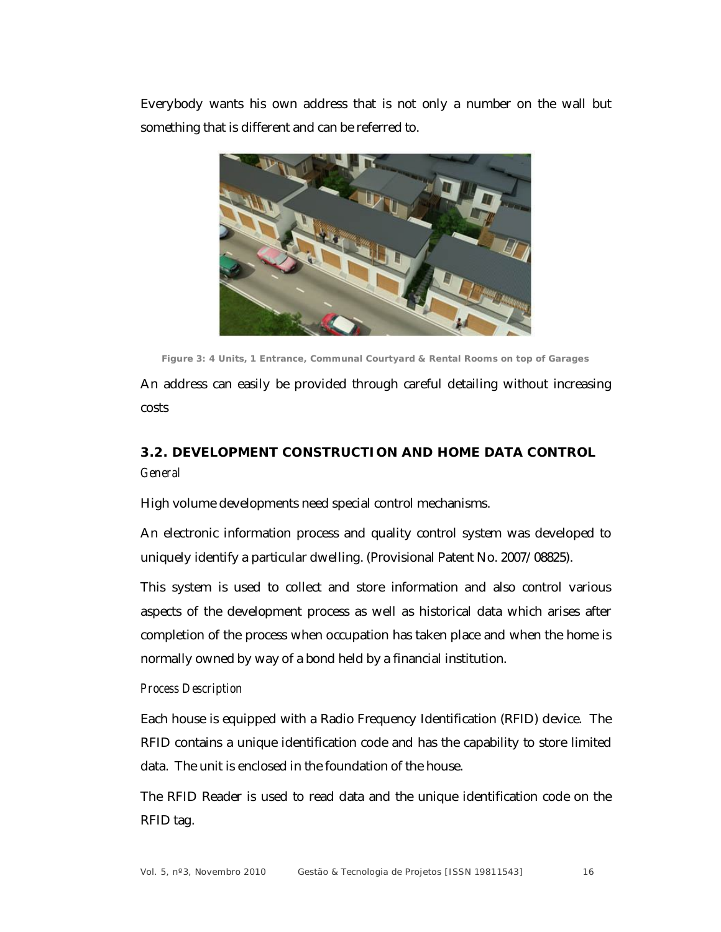Everybody wants his own address that is not only a number on the wall but something that is different and can be referred to.



**Figure 3: 4 Units, 1 Entrance, Communal Courtyard & Rental Rooms on top of Garages**

An address can easily be provided through careful detailing without increasing costs

# **3.2. DEVELOPMENT CONSTRUCTION AND HOME DATA CONTROL** *General*

High volume developments need special control mechanisms.

An electronic information process and quality control system was developed to uniquely identify a particular dwelling. (Provisional Patent No. 2007/08825).

This system is used to collect and store information and also control various aspects of the development process as well as historical data which arises after completion of the process when occupation has taken place and when the home is normally owned by way of a bond held by a financial institution.

# *Process Description*

Each house is equipped with a Radio Frequency Identification (RFID) device. The RFID contains a unique identification code and has the capability to store limited data. The unit is enclosed in the foundation of the house.

The RFID Reader is used to read data and the unique identification code on the RFID tag.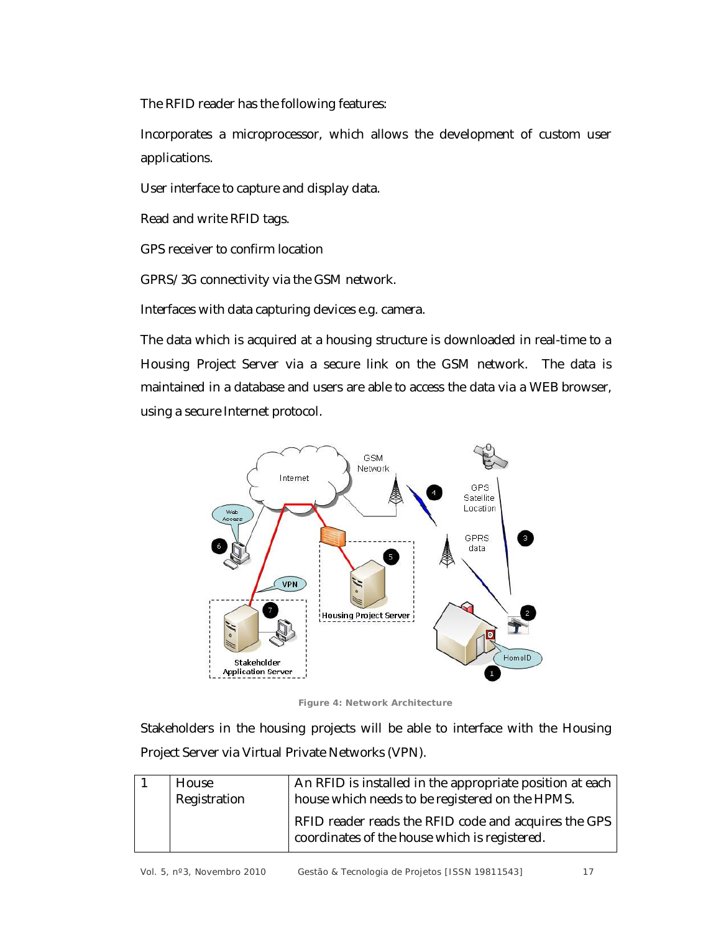The RFID reader has the following features:

Incorporates a microprocessor, which allows the development of custom user applications.

User interface to capture and display data.

Read and write RFID tags.

GPS receiver to confirm location

GPRS/3G connectivity via the GSM network.

Interfaces with data capturing devices e.g. camera.

The data which is acquired at a housing structure is downloaded in real-time to a Housing Project Server via a secure link on the GSM network. The data is maintained in a database and users are able to access the data via a WEB browser, using a secure Internet protocol.



**Figure 4: Network Architecture**

Stakeholders in the housing projects will be able to interface with the Housing Project Server via Virtual Private Networks (VPN).

| House<br>Registration | An RFID is installed in the appropriate position at each  <br>house which needs to be registered on the HPMS. |
|-----------------------|---------------------------------------------------------------------------------------------------------------|
|                       | RFID reader reads the RFID code and acquires the GPS<br>coordinates of the house which is registered.         |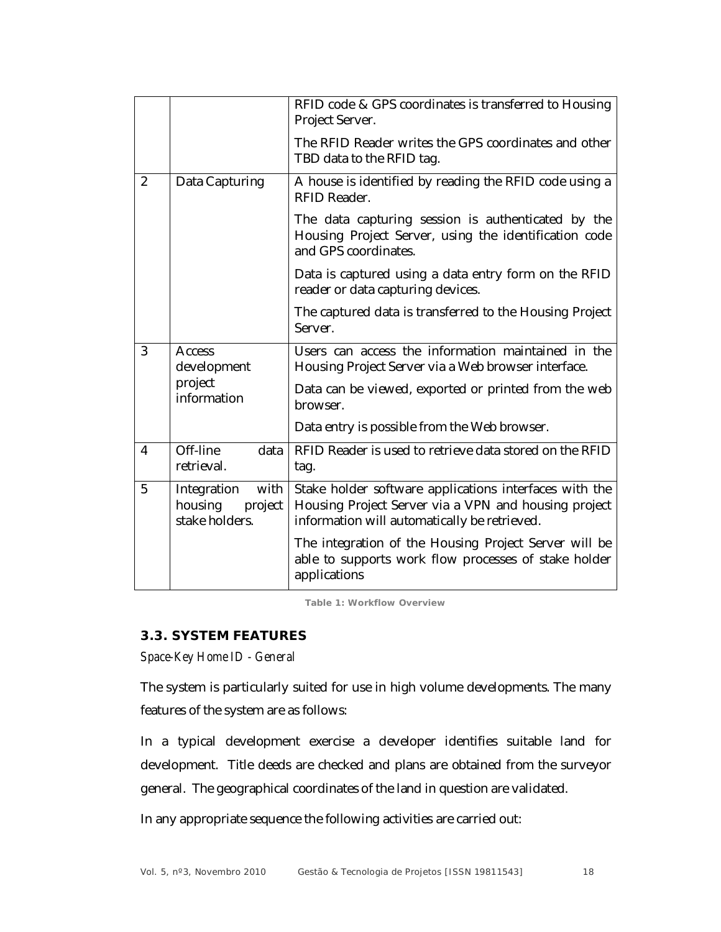|                |                                                             | RFID code & GPS coordinates is transferred to Housing<br>Project Server.                                                                                       |
|----------------|-------------------------------------------------------------|----------------------------------------------------------------------------------------------------------------------------------------------------------------|
|                |                                                             | The RFID Reader writes the GPS coordinates and other<br>TBD data to the RFID tag.                                                                              |
| $\overline{2}$ | Data Capturing                                              | A house is identified by reading the RFID code using a<br>RFID Reader.                                                                                         |
|                |                                                             | The data capturing session is authenticated by the<br>Housing Project Server, using the identification code<br>and GPS coordinates.                            |
|                |                                                             | Data is captured using a data entry form on the RFID<br>reader or data capturing devices.                                                                      |
|                |                                                             | The captured data is transferred to the Housing Project<br>Server.                                                                                             |
| 3              | Access<br>development                                       | Users can access the information maintained in the<br>Housing Project Server via a Web browser interface.                                                      |
|                | project<br>information                                      | Data can be viewed, exported or printed from the web<br>browser.                                                                                               |
|                |                                                             | Data entry is possible from the Web browser.                                                                                                                   |
| 4              | Off-line<br>data<br>retrieval.                              | RFID Reader is used to retrieve data stored on the RFID<br>tag.                                                                                                |
| 5              | with<br>Integration<br>housing<br>project<br>stake holders. | Stake holder software applications interfaces with the<br>Housing Project Server via a VPN and housing project<br>information will automatically be retrieved. |
|                |                                                             | The integration of the Housing Project Server will be<br>able to supports work flow processes of stake holder<br>applications                                  |

**Table 1: Workflow Overview**

# **3.3. SYSTEM FEATURES**

*Space-Key Home ID - General*

The system is particularly suited for use in high volume developments. The many features of the system are as follows:

In a typical development exercise a developer identifies suitable land for development. Title deeds are checked and plans are obtained from the surveyor general. The geographical coordinates of the land in question are validated.

In any appropriate sequence the following activities are carried out: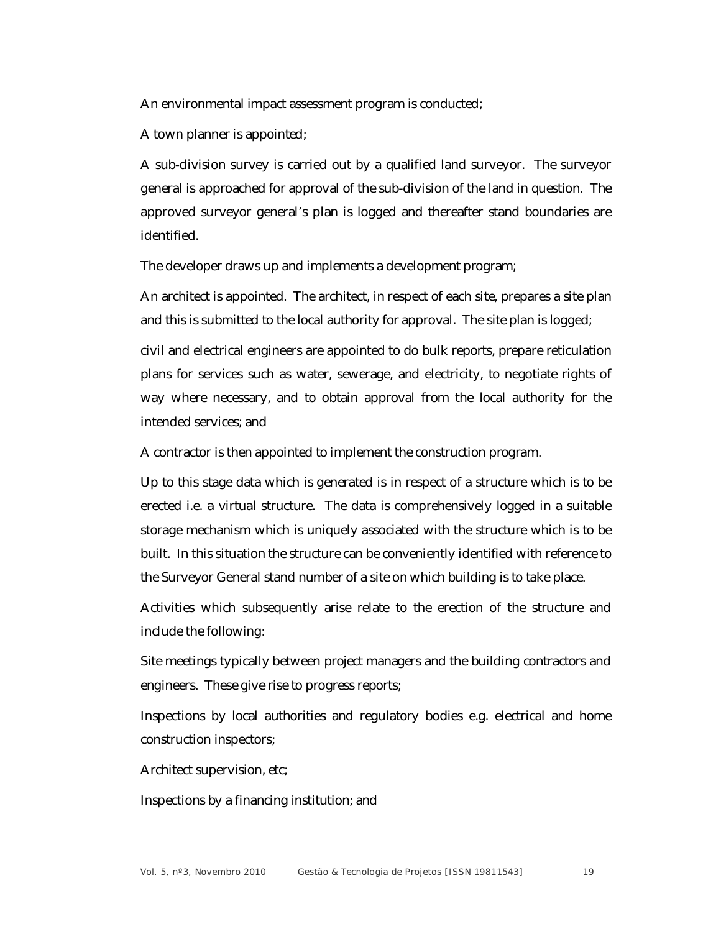An environmental impact assessment program is conducted;

A town planner is appointed;

A sub-division survey is carried out by a qualified land surveyor. The surveyor general is approached for approval of the sub-division of the land in question. The approved surveyor general's plan is logged and thereafter stand boundaries are identified.

The developer draws up and implements a development program;

An architect is appointed. The architect, in respect of each site, prepares a site plan and this is submitted to the local authority for approval. The site plan is logged;

civil and electrical engineers are appointed to do bulk reports, prepare reticulation plans for services such as water, sewerage, and electricity, to negotiate rights of way where necessary, and to obtain approval from the local authority for the intended services; and

A contractor is then appointed to implement the construction program.

Up to this stage data which is generated is in respect of a structure which is to be erected i.e. a virtual structure. The data is comprehensively logged in a suitable storage mechanism which is uniquely associated with the structure which is to be built. In this situation the structure can be conveniently identified with reference to the Surveyor General stand number of a site on which building is to take place.

Activities which subsequently arise relate to the erection of the structure and include the following:

Site meetings typically between project managers and the building contractors and engineers. These give rise to progress reports;

Inspections by local authorities and regulatory bodies e.g. electrical and home construction inspectors;

Architect supervision, etc;

Inspections by a financing institution; and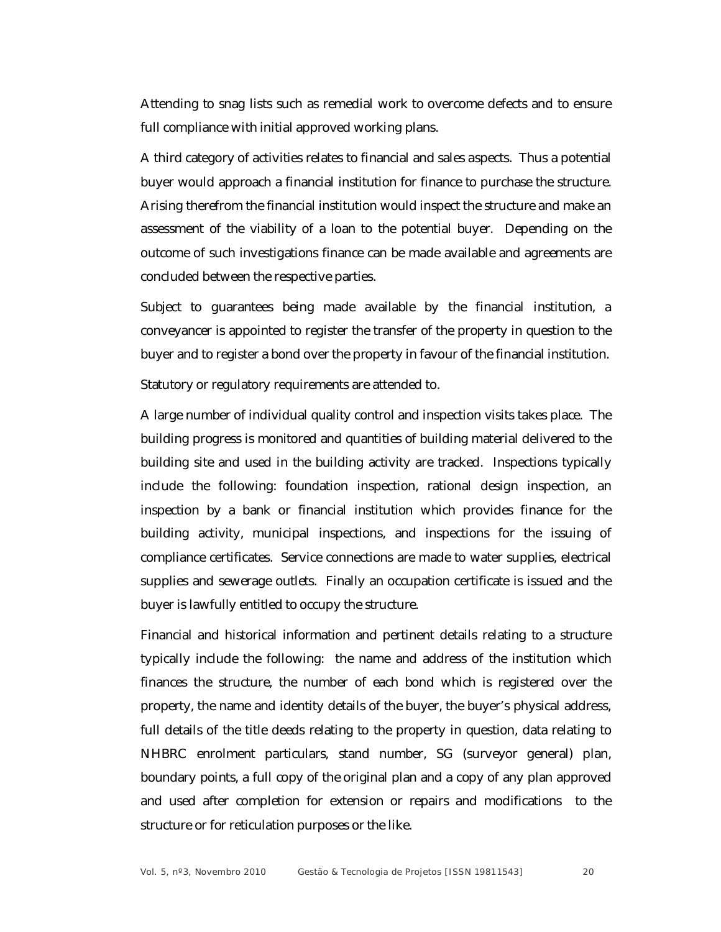Attending to snag lists such as remedial work to overcome defects and to ensure full compliance with initial approved working plans.

A third category of activities relates to financial and sales aspects. Thus a potential buyer would approach a financial institution for finance to purchase the structure. Arising therefrom the financial institution would inspect the structure and make an assessment of the viability of a loan to the potential buyer. Depending on the outcome of such investigations finance can be made available and agreements are concluded between the respective parties.

Subject to guarantees being made available by the financial institution, a conveyancer is appointed to register the transfer of the property in question to the buyer and to register a bond over the property in favour of the financial institution.

Statutory or regulatory requirements are attended to.

A large number of individual quality control and inspection visits takes place. The building progress is monitored and quantities of building material delivered to the building site and used in the building activity are tracked. Inspections typically include the following: foundation inspection, rational design inspection, an inspection by a bank or financial institution which provides finance for the building activity, municipal inspections, and inspections for the issuing of compliance certificates. Service connections are made to water supplies, electrical supplies and sewerage outlets. Finally an occupation certificate is issued and the buyer is lawfully entitled to occupy the structure.

Financial and historical information and pertinent details relating to a structure typically include the following: the name and address of the institution which finances the structure, the number of each bond which is registered over the property, the name and identity details of the buyer, the buyer's physical address, full details of the title deeds relating to the property in question, data relating to NHBRC enrolment particulars, stand number, SG (surveyor general) plan, boundary points, a full copy of the original plan and a copy of any plan approved and used after completion for extension or repairs and modifications to the structure or for reticulation purposes or the like.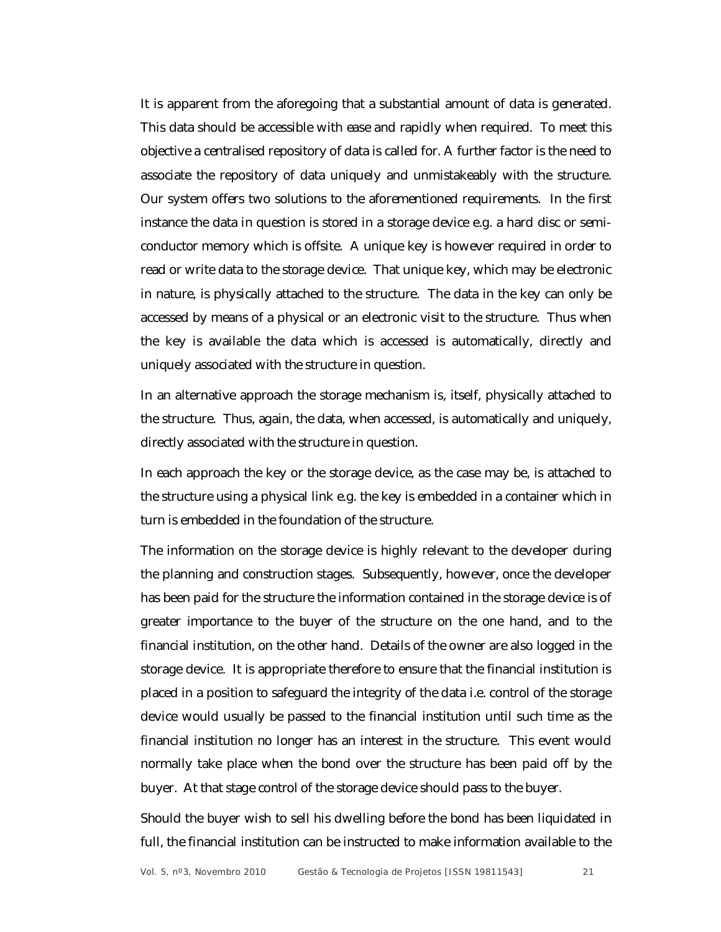It is apparent from the aforegoing that a substantial amount of data is generated. This data should be accessible with ease and rapidly when required. To meet this objective a centralised repository of data is called for. A further factor is the need to associate the repository of data uniquely and unmistakeably with the structure. Our system offers two solutions to the aforementioned requirements. In the first instance the data in question is stored in a storage device e.g. a hard disc or semiconductor memory which is offsite. A unique key is however required in order to read or write data to the storage device. That unique key, which may be electronic in nature, is physically attached to the structure. The data in the key can only be accessed by means of a physical or an electronic visit to the structure. Thus when the key is available the data which is accessed is automatically, directly and uniquely associated with the structure in question.

In an alternative approach the storage mechanism is, itself, physically attached to the structure. Thus, again, the data, when accessed, is automatically and uniquely, directly associated with the structure in question.

In each approach the key or the storage device, as the case may be, is attached to the structure using a physical link e.g. the key is embedded in a container which in turn is embedded in the foundation of the structure.

The information on the storage device is highly relevant to the developer during the planning and construction stages. Subsequently, however, once the developer has been paid for the structure the information contained in the storage device is of greater importance to the buyer of the structure on the one hand, and to the financial institution, on the other hand. Details of the owner are also logged in the storage device. It is appropriate therefore to ensure that the financial institution is placed in a position to safeguard the integrity of the data i.e. control of the storage device would usually be passed to the financial institution until such time as the financial institution no longer has an interest in the structure. This event would normally take place when the bond over the structure has been paid off by the buyer. At that stage control of the storage device should pass to the buyer.

Should the buyer wish to sell his dwelling before the bond has been liquidated in full, the financial institution can be instructed to make information available to the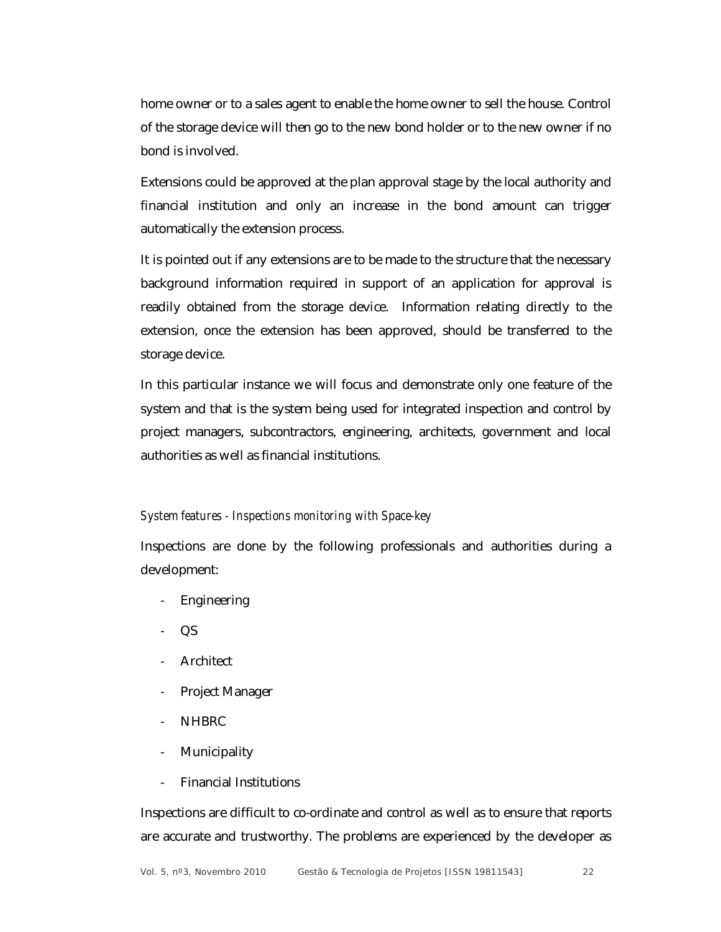home owner or to a sales agent to enable the home owner to sell the house. Control of the storage device will then go to the new bond holder or to the new owner if no bond is involved.

Extensions could be approved at the plan approval stage by the local authority and financial institution and only an increase in the bond amount can trigger automatically the extension process.

It is pointed out if any extensions are to be made to the structure that the necessary background information required in support of an application for approval is readily obtained from the storage device. Information relating directly to the extension, once the extension has been approved, should be transferred to the storage device.

In this particular instance we will focus and demonstrate only one feature of the system and that is the system being used for integrated inspection and control by project managers, subcontractors, engineering, architects, government and local authorities as well as financial institutions.

#### *System features - Inspections monitoring with Space-key*

Inspections are done by the following professionals and authorities during a development:

- **Engineering**
- QS
- Architect
- Project Manager
- NHBRC
- **Municipality**
- Financial Institutions

Inspections are difficult to co-ordinate and control as well as to ensure that reports are accurate and trustworthy. The problems are experienced by the developer as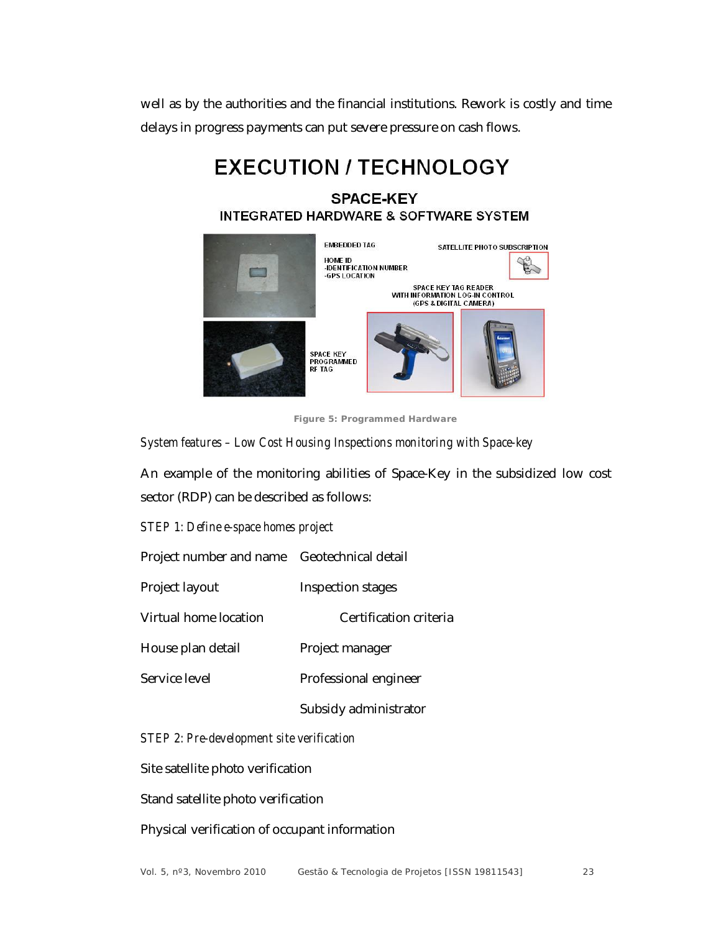well as by the authorities and the financial institutions. Rework is costly and time delays in progress payments can put severe pressure on cash flows.

# **EXECUTION / TECHNOLOGY**

# **SPACE-KEY INTEGRATED HARDWARE & SOFTWARE SYSTEM**



**Figure 5: Programmed Hardware**

*System features – Low Cost Housing Inspections monitoring with Space-key*

An example of the monitoring abilities of Space-Key in the subsidized low cost sector (RDP) can be described as follows:

*STEP 1: Define e-space homes project*

Project number and name Geotechnical detail

Project layout Inspection stages

Virtual home location Certification criteria

House plan detail Project manager

Service level **Professional engineer** 

Subsidy administrator

*STEP 2: Pre-development site verification*

Site satellite photo verification

Stand satellite photo verification

Physical verification of occupant information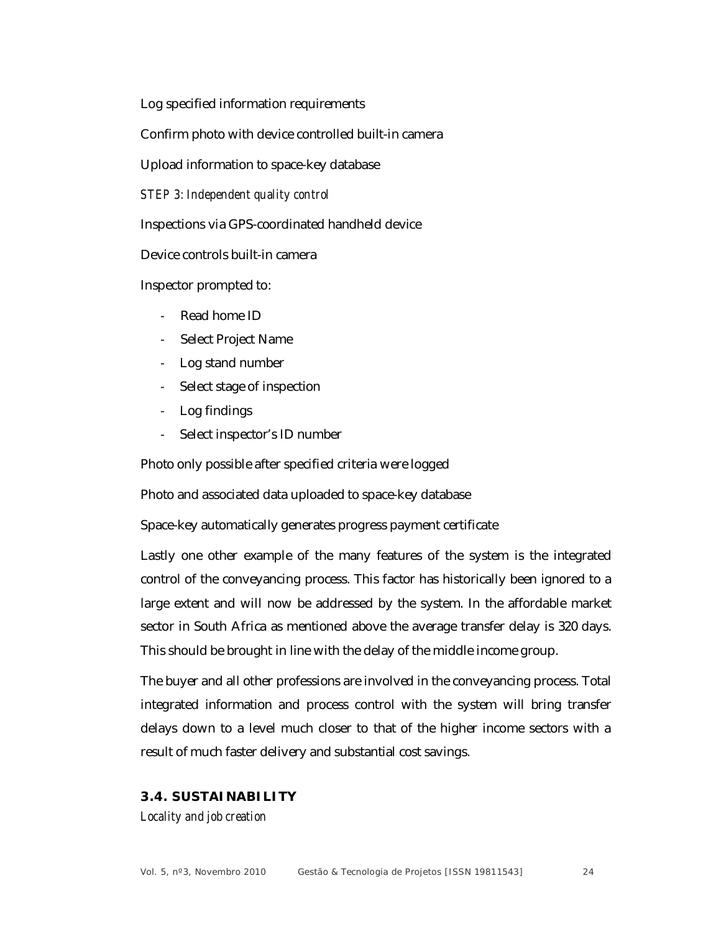Log specified information requirements

Confirm photo with device controlled built-in camera

Upload information to space-key database

*STEP 3: Independent quality control*

Inspections via GPS-coordinated handheld device

Device controls built-in camera

Inspector prompted to:

- Read home ID
- Select Project Name
- Log stand number
- Select stage of inspection
- Log findings
- Select inspector's ID number

Photo only possible after specified criteria were logged

Photo and associated data uploaded to space-key database

Space-key automatically generates progress payment certificate

Lastly one other example of the many features of the system is the integrated control of the conveyancing process. This factor has historically been ignored to a large extent and will now be addressed by the system. In the affordable market sector in South Africa as mentioned above the average transfer delay is 320 days. This should be brought in line with the delay of the middle income group.

The buyer and all other professions are involved in the conveyancing process. Total integrated information and process control with the system will bring transfer delays down to a level much closer to that of the higher income sectors with a result of much faster delivery and substantial cost savings.

### **3.4. SUSTAINABILITY**

*Locality and job creation*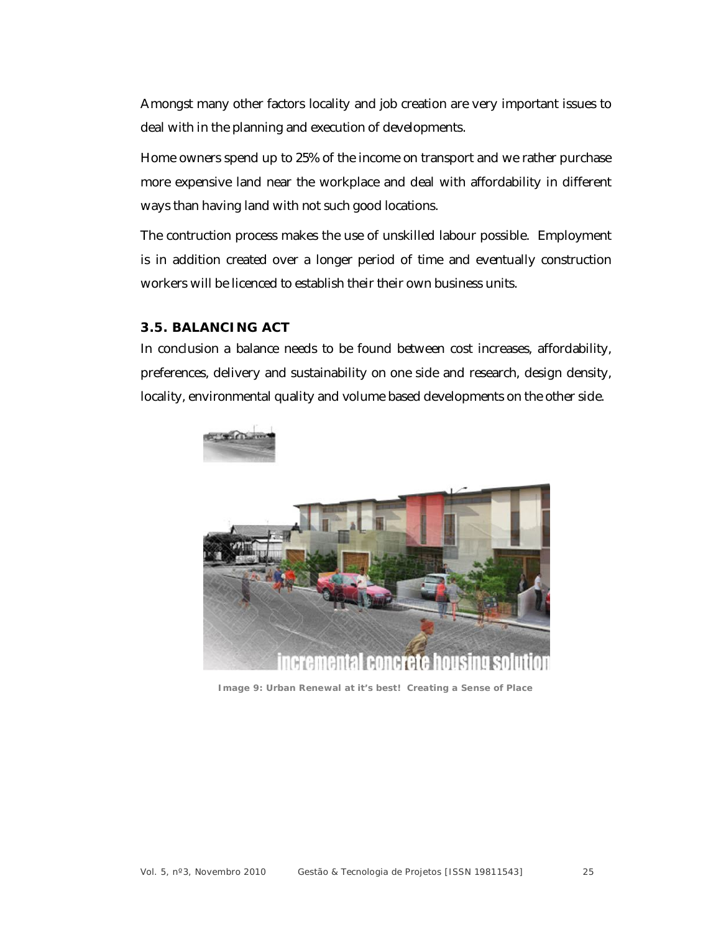Amongst many other factors locality and job creation are very important issues to deal with in the planning and execution of developments.

Home owners spend up to 25% of the income on transport and we rather purchase more expensive land near the workplace and deal with affordability in different ways than having land with not such good locations.

The contruction process makes the use of unskilled labour possible. Employment is in addition created over a longer period of time and eventually construction workers will be licenced to establish their their own business units.

### **3.5. BALANCING ACT**

In conclusion a balance needs to be found between cost increases, affordability, preferences, delivery and sustainability on one side and research, design density, locality, environmental quality and volume based developments on the other side.



**Image 9: Urban Renewal at it's best! Creating a Sense of Place**